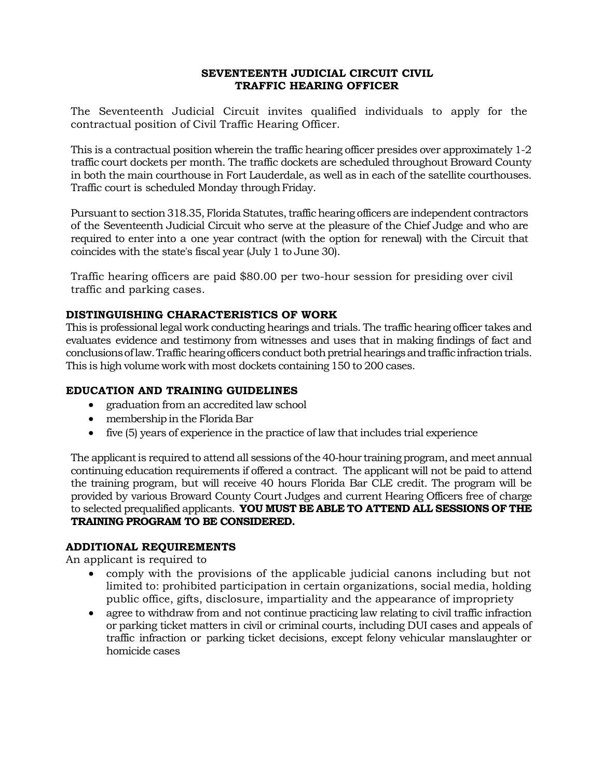# **SEVENTEENTH JUDICIAL CIRCUIT CIVIL TRAFFIC HEARING OFFICER**

The Seventeenth Judicial Circuit invites qualified individuals to apply for the contractual position of Civil Traffic Hearing Officer.

This is a contractual position wherein the traffic hearing officer presides over approximately 1-2 traffic court dockets per month. The traffic dockets are scheduled throughout Broward County in both the main courthouse in Fort Lauderdale, as well as in each of the satellite courthouses. Traffic court is scheduled Monday through Friday.

Pursuant to section 318.35, Florida Statutes, traffic hearing officers are independent contractors of the Seventeenth Judicial Circuit who serve at the pleasure of the Chief Judge and who are required to enter into a one year contract (with the option for renewal) with the Circuit that coincides with the state's fiscal year (July 1 to June 30).

Traffic hearing officers are paid \$80.00 per two-hour session for presiding over civil traffic and parking cases.

# **DISTINGUISHING CHARACTERISTICS OF WORK**

This is professional legal work conducting hearings and trials. The traffic hearing officer takes and evaluates evidence and testimony from witnesses and uses that in making findings of fact and conclusions of law. Traffic hearing officers conduct both pretrial hearings and traffic infraction trials. This is high volume work with most dockets containing 150 to 200 cases.

# **EDUCATION AND TRAINING GUIDELINES**

- graduation from an accredited law school
- membershipin the Florida Bar
- five (5) years of experience in the practice of law that includes trial experience

The applicant is required to attend all sessions of the 40-hour training program, and meet annual continuing education requirements if offered a contract. The applicant will not be paid to attend the training program, but will receive 40 hours Florida Bar CLE credit. The program will be provided by various Broward County Court Judges and current Hearing Officers free of charge to selected prequalified applicants. **YOU MUST BE ABLE TO ATTEND ALL SESSIONS OF THE TRAINING PROGRAM TO BE CONSIDERED.**

#### **ADDITIONAL REQUIREMENTS**

An applicant is required to

- comply with the provisions of the applicable judicial canons including but not limited to: prohibited participation in certain organizations, social media, holding public office, gifts, disclosure, impartiality and the appearance of impropriety
- agree to withdraw from and not continue practicing law relating to civil traffic infraction or parking ticket matters in civil or criminal courts, including DUI cases and appeals of traffic infraction or parking ticket decisions, except felony vehicular manslaughter or homicide cases